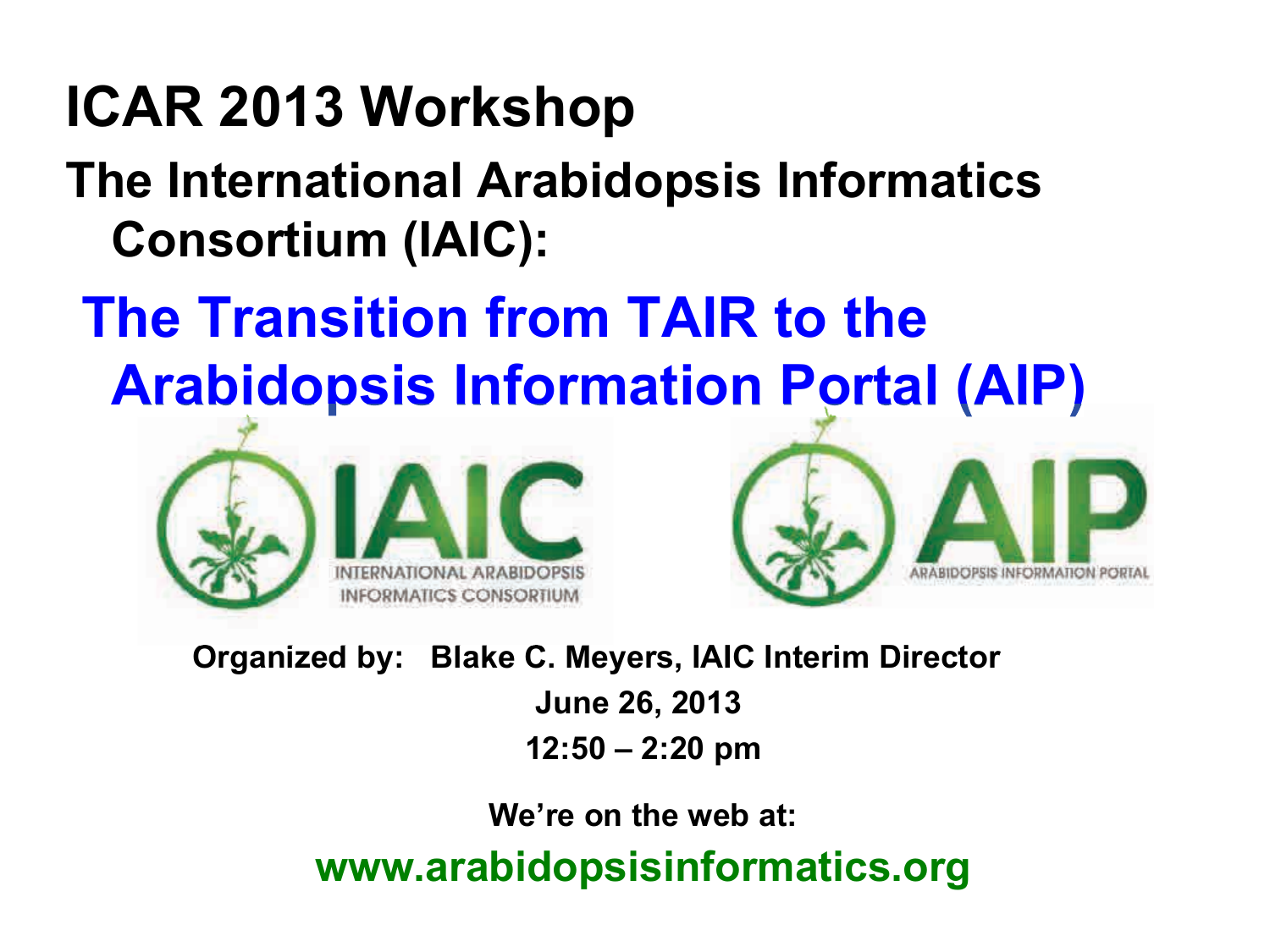# **ICAR 2013 Workshop**

# **The International Arabidopsis Informatics Consortium (IAIC):**

# **The Transition from TAIR to the Arabidopsis Information Portal (AIP)**





 **Organized by: Blake C. Meyers, IAIC Interim Director** 

**June 26, 2013** 

**12:50 – 2:20 pm** 

**We're on the web at:**

**www.arabidopsisinformatics.org**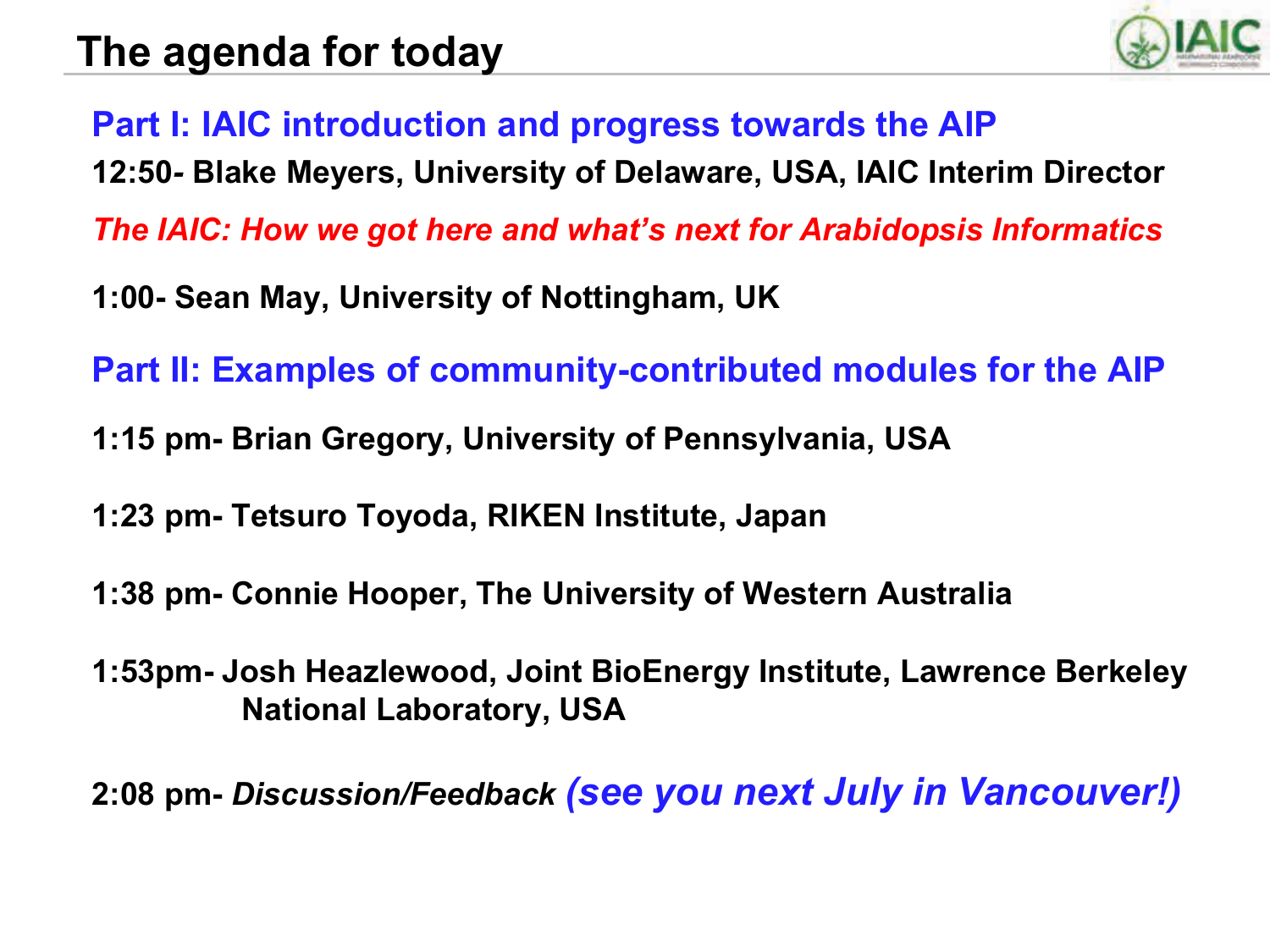

**Part I: IAIC introduction and progress towards the AIP**

**12:50***-* **Blake Meyers, University of Delaware, USA, IAIC Interim Director** 

*The IAIC: How we got here and what's next for Arabidopsis Informatics* 

**1:00- Sean May, University of Nottingham, UK**

**Part II: Examples of community-contributed modules for the AIP** 

- **1:15 pm- Brian Gregory, University of Pennsylvania, USA**
- **1:23 pm- Tetsuro Toyoda, RIKEN Institute, Japan**
- **1:38 pm- Connie Hooper, The University of Western Australia**
- **1:53pm- Josh Heazlewood, Joint BioEnergy Institute, Lawrence Berkeley National Laboratory, USA**

**2:08 pm-** *Discussion/Feedback (see you next July in Vancouver!)*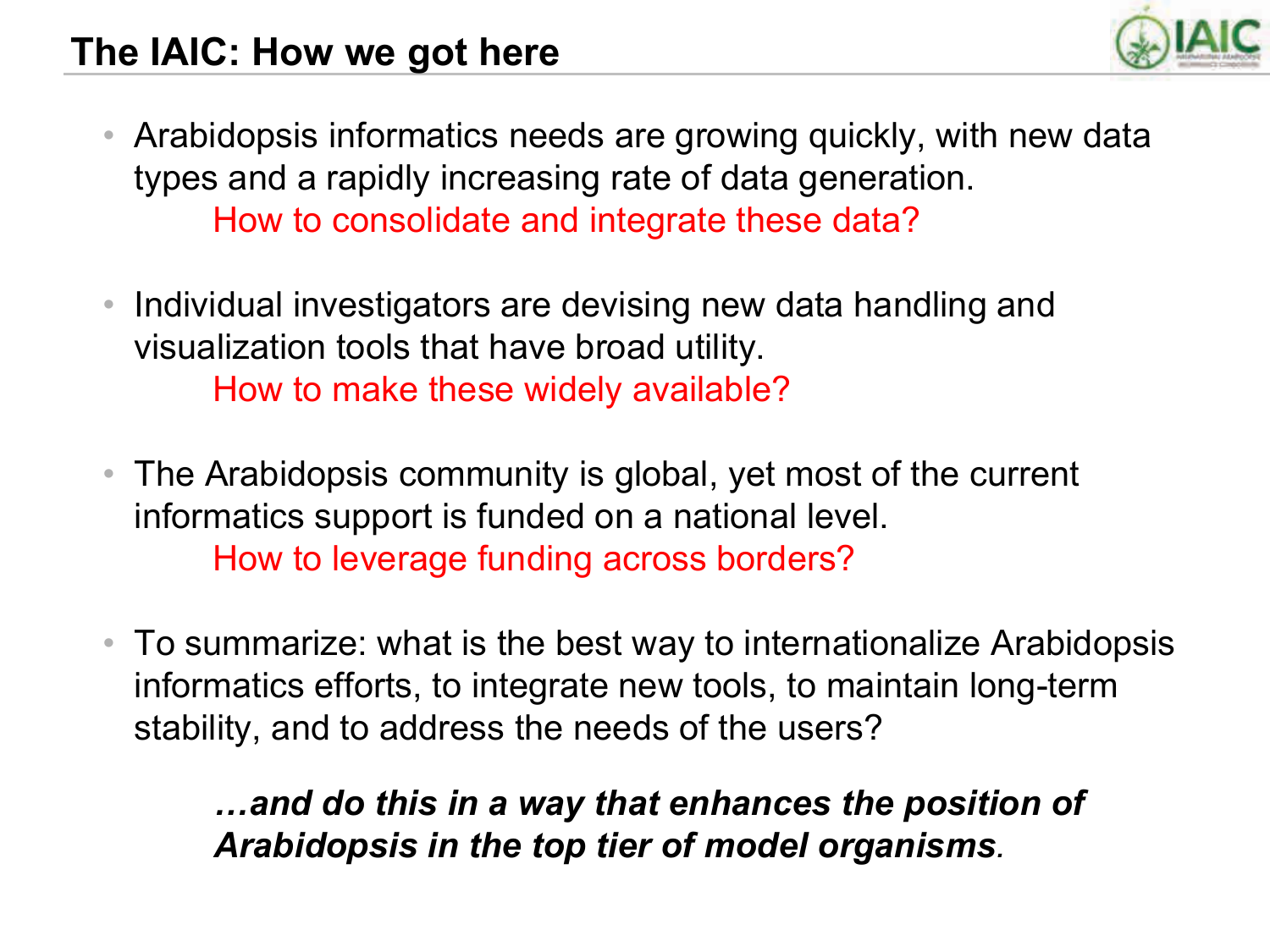## **The IAIC: How we got here**



- Arabidopsis informatics needs are growing quickly, with new data types and a rapidly increasing rate of data generation. How to consolidate and integrate these data?
- Individual investigators are devising new data handling and visualization tools that have broad utility. How to make these widely available?
- The Arabidopsis community is global, yet most of the current informatics support is funded on a national level. How to leverage funding across borders?
- To summarize: what is the best way to internationalize Arabidopsis informatics efforts, to integrate new tools, to maintain long-term stability, and to address the needs of the users?

*!and do this in a way that enhances the position of Arabidopsis in the top tier of model organisms.*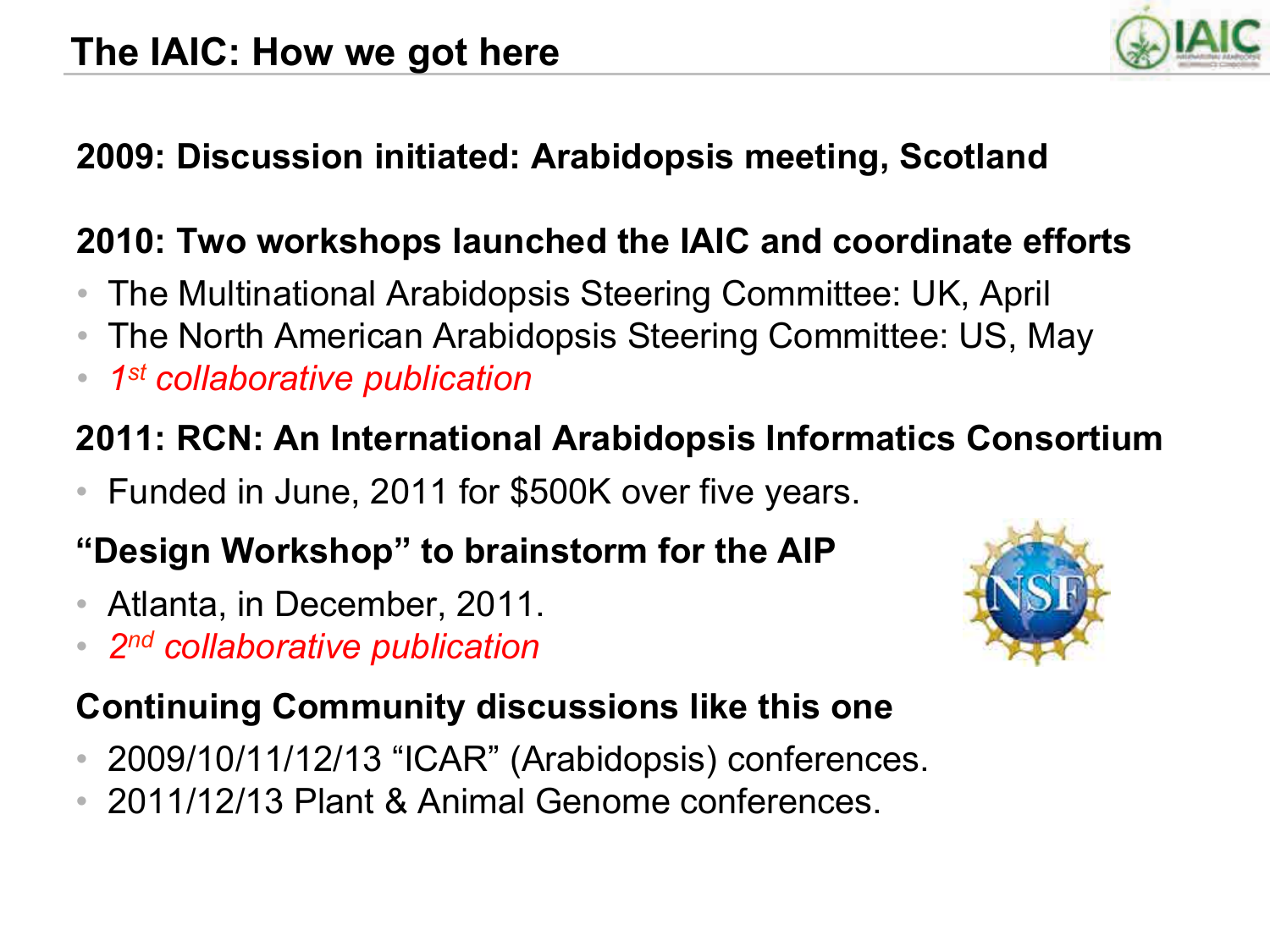

## **2009: Discussion initiated: Arabidopsis meeting, Scotland**

## **2010: Two workshops launched the IAIC and coordinate efforts**

- The Multinational Arabidopsis Steering Committee: UK, April
- The North American Arabidopsis Steering Committee: US, May
- *1st collaborative publication*

## **2011: RCN: An International Arabidopsis Informatics Consortium**

• Funded in June, 2011 for \$500K over five years.

## **"Design Workshop" to brainstorm for the AIP**

- Atlanta, in December, 2011.
- *2nd collaborative publication*



## **Continuing Community discussions like this one**

- 2009/10/11/12/13 "ICAR" (Arabidopsis) conferences.
- 2011/12/13 Plant & Animal Genome conferences.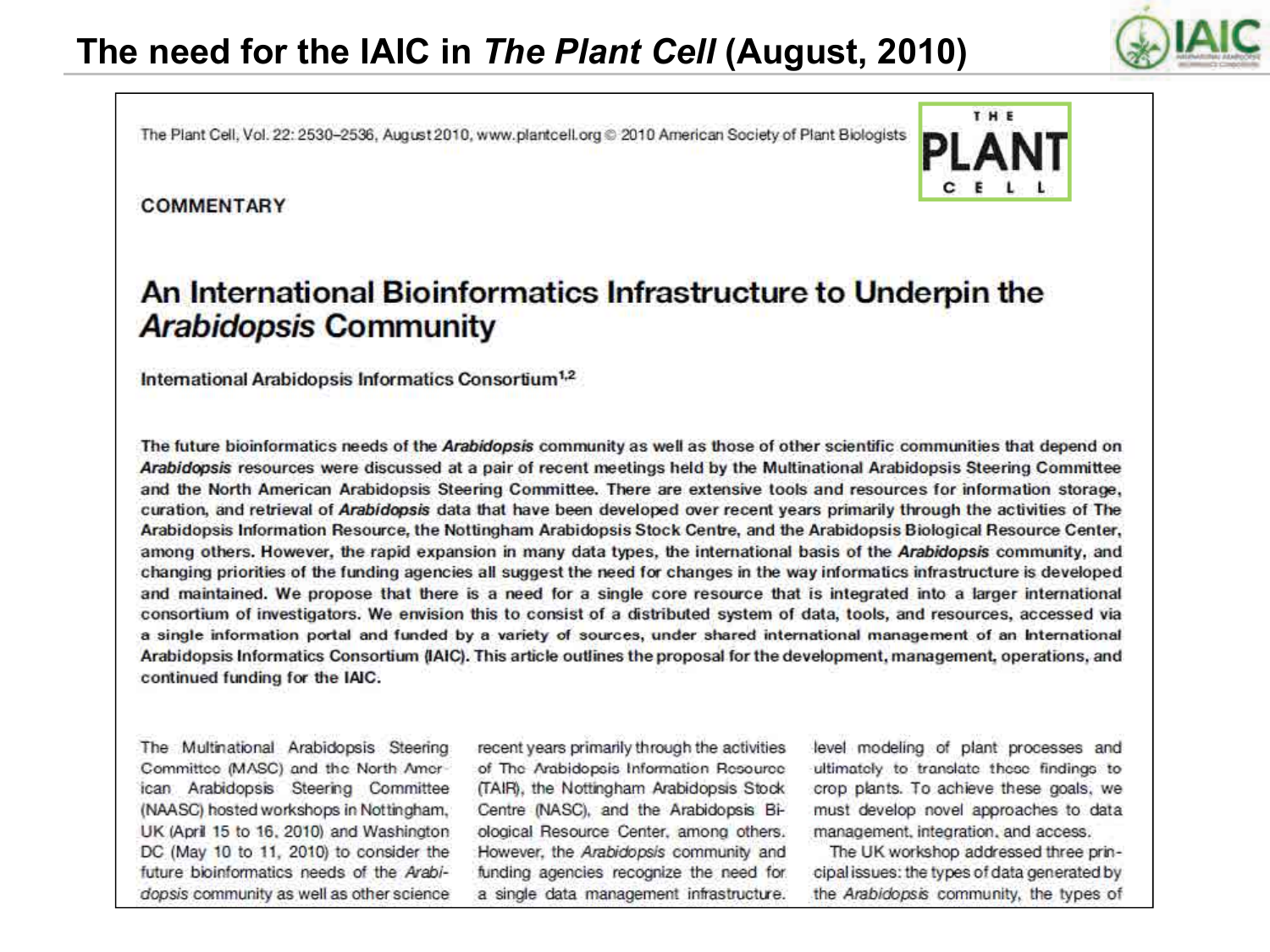The Plant Cell, Vol. 22: 2530-2536, August 2010, www.plantcell.org @ 2010 American Society of Plant Biologists

#### **COMMENTARY**



### An International Bioinformatics Infrastructure to Underpin the **Arabidopsis Community**

International Arabidopsis Informatics Consortium<sup>1,2</sup>

The future bioinformatics needs of the Arabidopsis community as well as those of other scientific communities that depend on Arabidopsis resources were discussed at a pair of recent meetings held by the Multinational Arabidopsis Steering Committee and the North American Arabidopsis Steering Committee. There are extensive tools and resources for information storage. curation, and retrieval of Arabidopsis data that have been developed over recent years primarily through the activities of The Arabidopsis Information Resource, the Nottingham Arabidopsis Stock Centre, and the Arabidopsis Biological Resource Center, among others. However, the rapid expansion in many data types, the international basis of the Arabidopsis community, and changing priorities of the funding agencies all suggest the need for changes in the way informatics infrastructure is developed and maintained. We propose that there is a need for a single core resource that is integrated into a larger international consortium of investigators. We envision this to consist of a distributed system of data, tools, and resources, accessed via a single information portal and funded by a variety of sources, under shared international management of an International Arabidopsis Informatics Consortium (IAIC). This article outlines the proposal for the development, management, operations, and continued funding for the IAIC.

The Multinational Arabidopsis Steering Committee (MASC) and the North American Arabidopsis Steering Committee (NAASC) hosted workshops in Nottingham, UK (April 15 to 16, 2010) and Washington DC (May 10 to 11, 2010) to consider the future bioinformatics needs of the Arabidopsis community as well as other science recent years primarily through the activities of The Arabidopsis Information Resource (TAIR), the Nottingham Arabidopsis Stock Centre (NASC), and the Arabidopsis Biological Resource Center, among others, However, the Arabidopsis community and funding agencies recognize the need for a single data management infrastructure.

level modeling of plant processes and ultimately to translate these findings to crop plants. To achieve these goals, we must develop novel approaches to data management, integration, and access.

The UK workshop addressed three principal issues: the types of data generated by the Arabidopsis community, the types of

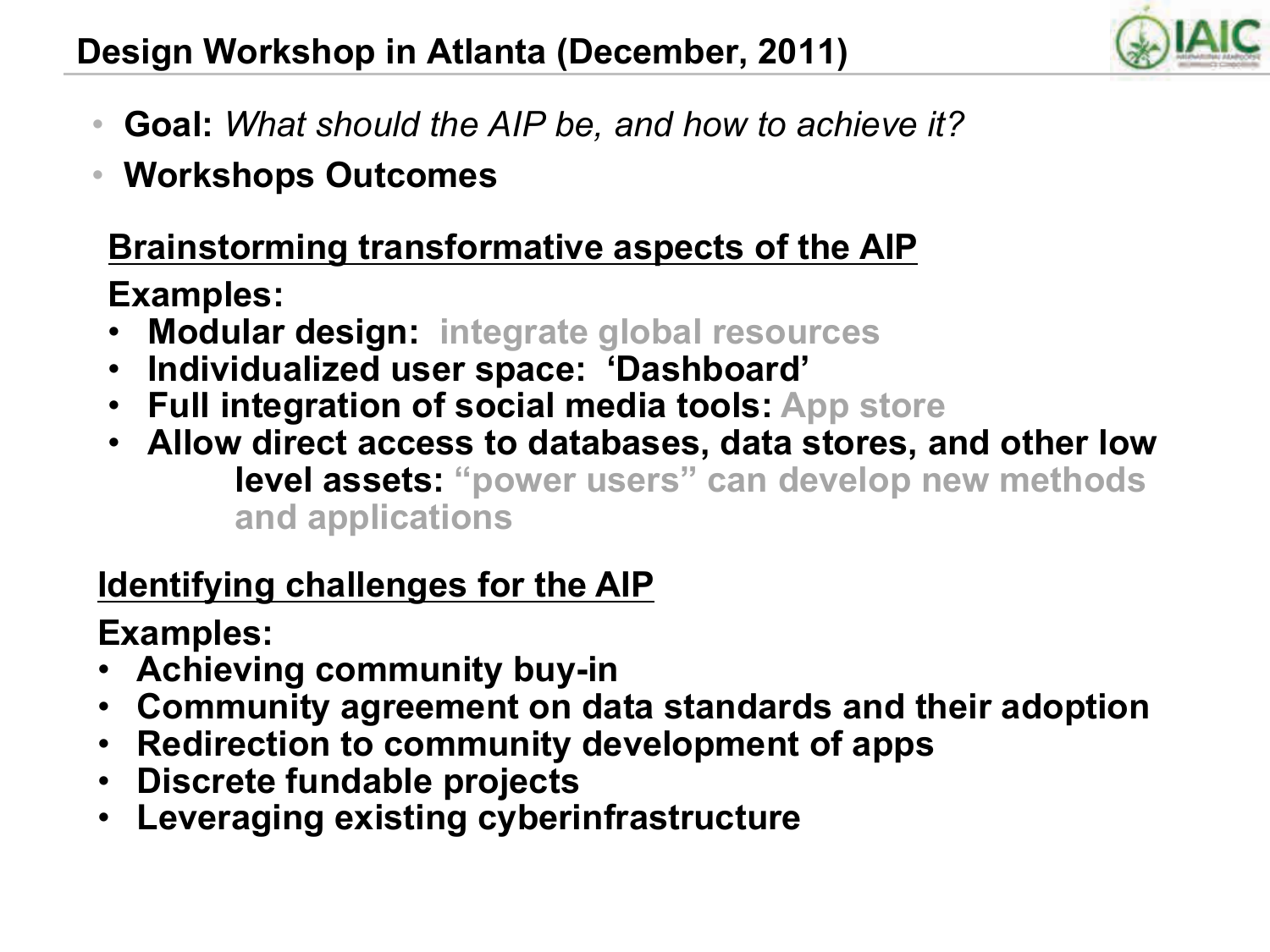

- **Goal:** *What should the AIP be, and how to achieve it?*
- **Workshops Outcomes**

# **Brainstorming transformative aspects of the AIP**

**Examples:** 

- **Modular design: integrate global resources**
- **Individualized user space: 'Dashboard'**
- **Full integration of social media tools: App store**
- **Allow direct access to databases, data stores, and other low level assets: "power users" can develop new methods and applications**

## **Identifying challenges for the AIP**

**Examples:** 

- **Achieving community buy-in**
- **Community agreement on data standards and their adoption**
- **Redirection to community development of apps**
- **Discrete fundable projects**
- **Leveraging existing cyberinfrastructure**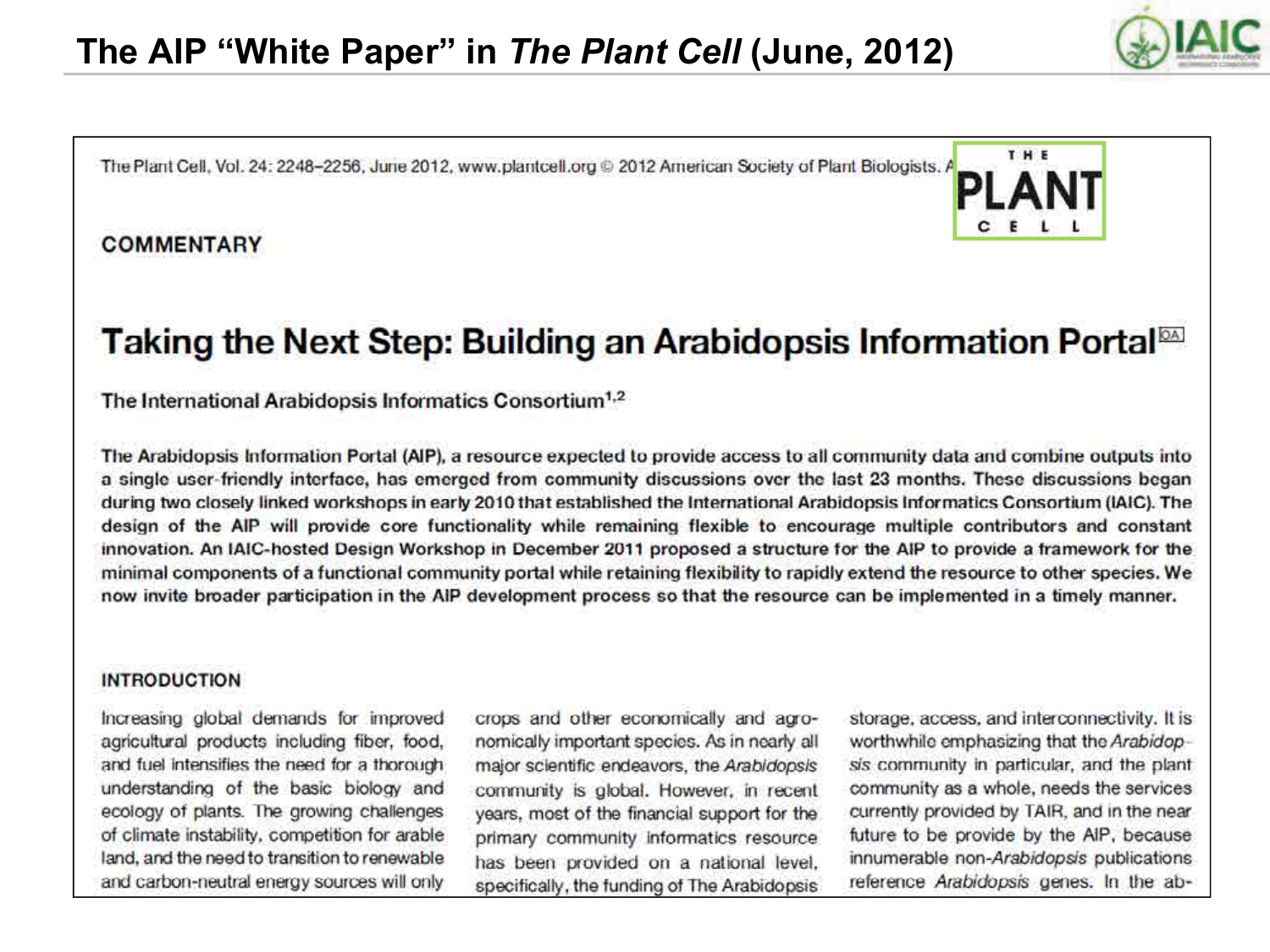The Plant Cell, Vol. 24: 2248-2256, June 2012, www.plantcell.org © 2012 American Society of Plant Biologists. A

#### **COMMENTARY**



### Taking the Next Step: Building an Arabidopsis Information Portal<sup>on</sup>

#### The International Arabidopsis Informatics Consortium<sup>1,2</sup>

The Arabidopsis Information Portal (AIP), a resource expected to provide access to all community data and combine outputs into a single user-friendly interface, has emerged from community discussions over the last 23 months. These discussions began during two closely linked workshops in early 2010 that established the International Arabidopsis Informatics Consortium (IAIC). The design of the AIP will provide core functionality while remaining flexible to encourage multiple contributors and constant innovation. An IAIC-hosted Design Workshop in December 2011 proposed a structure for the AIP to provide a framework for the minimal components of a functional community portal while retaining flexibility to rapidly extend the resource to other species. We now invite broader participation in the AIP development process so that the resource can be implemented in a timely manner.

#### **INTRODUCTION**

Increasing global demands for improved agricultural products including fiber, food, and fuel intensifies the need for a thorough understanding of the basic biology and ecology of plants. The growing challenges of climate instability, competition for arable land, and the need to transition to renewable and carbon-neutral energy sources will only

crops and other economically and agronomically important species. As in nearly all major scientific endeavors, the Arabidopsis community is global. However, in recent years, most of the financial support for the primary community informatics resource has been provided on a national level. specifically, the funding of The Arabidopsis

storage, access, and interconnectivity. It is worthwhile emphasizing that the Arabidopsis community in particular, and the plant community as a whole, needs the services currently provided by TAIR, and in the near future to be provide by the AIP, because innumerable non-Arabidopsis publications reference Arabidopsis genes. In the ab-

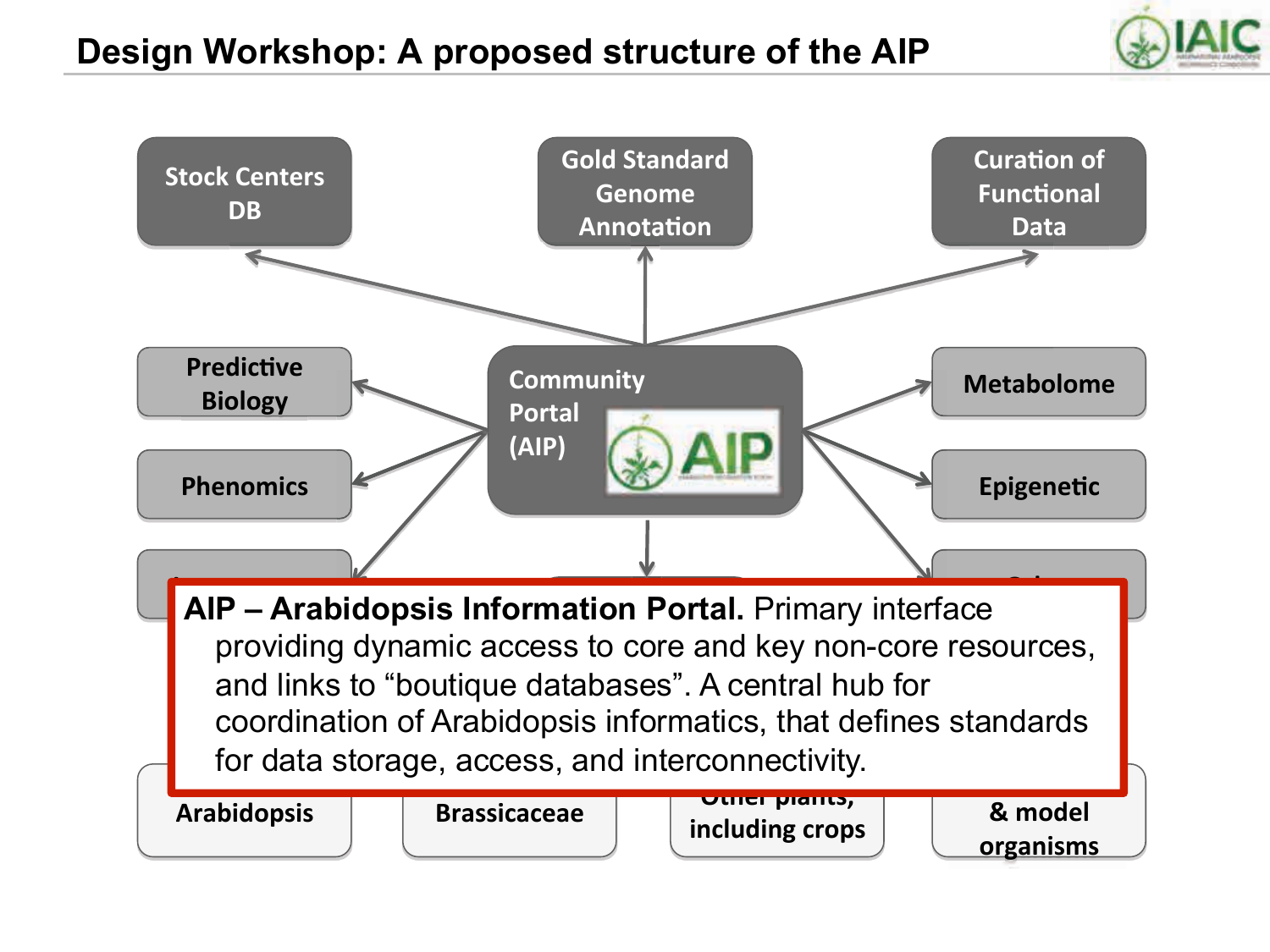

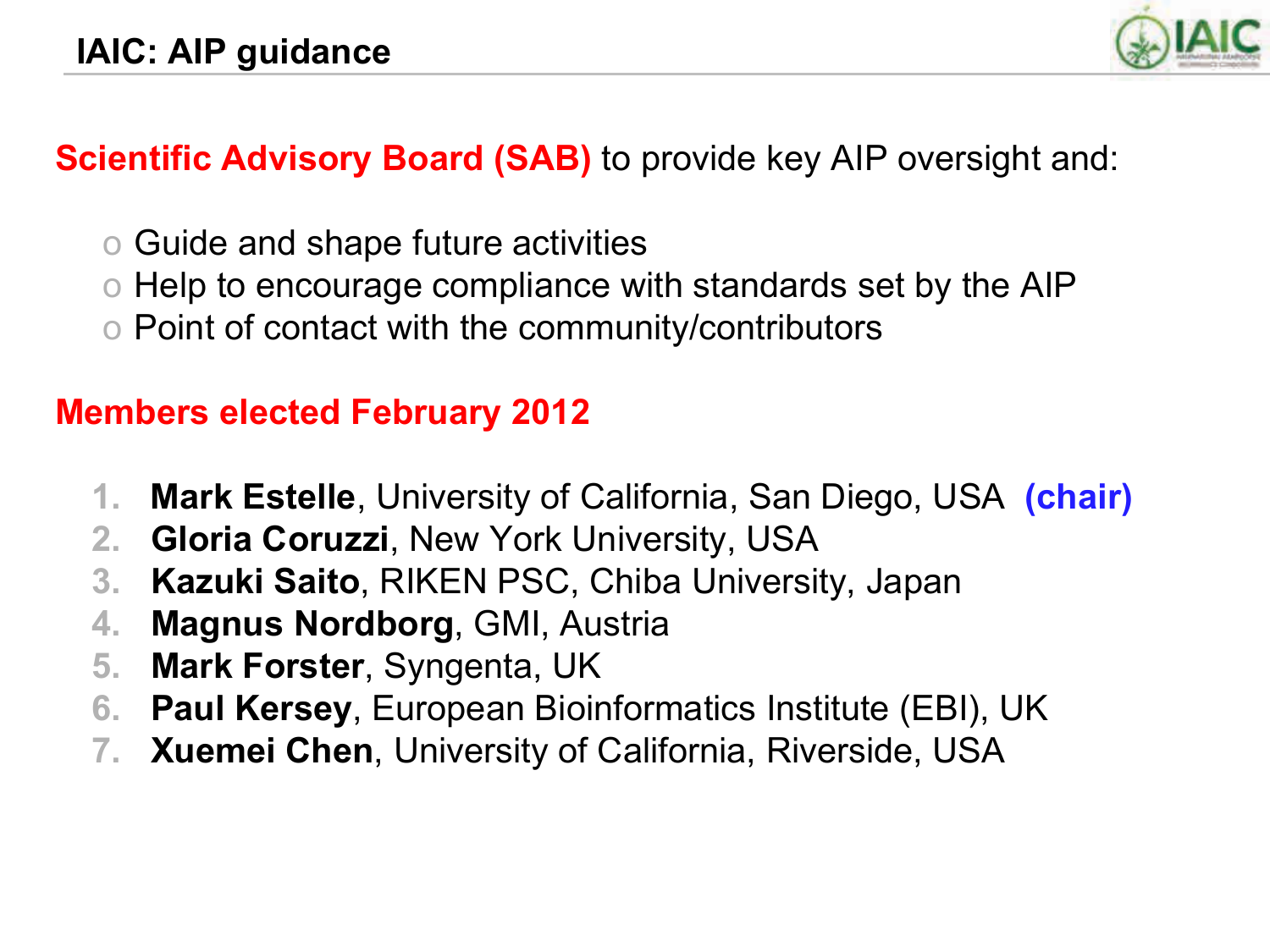

### **Scientific Advisory Board (SAB)** to provide key AIP oversight and:

- o Guide and shape future activities
- o Help to encourage compliance with standards set by the AIP
- o Point of contact with the community/contributors

## **Members elected February 2012**

- **1. Mark Estelle**, University of California, San Diego, USA **(chair)**
- **2. Gloria Coruzzi**, New York University, USA
- **3. Kazuki Saito**, RIKEN PSC, Chiba University, Japan
- **4. Magnus Nordborg**, GMI, Austria
- **5. Mark Forster**, Syngenta, UK
- **6. Paul Kersey**, European Bioinformatics Institute (EBI), UK
- **7. Xuemei Chen**, University of California, Riverside, USA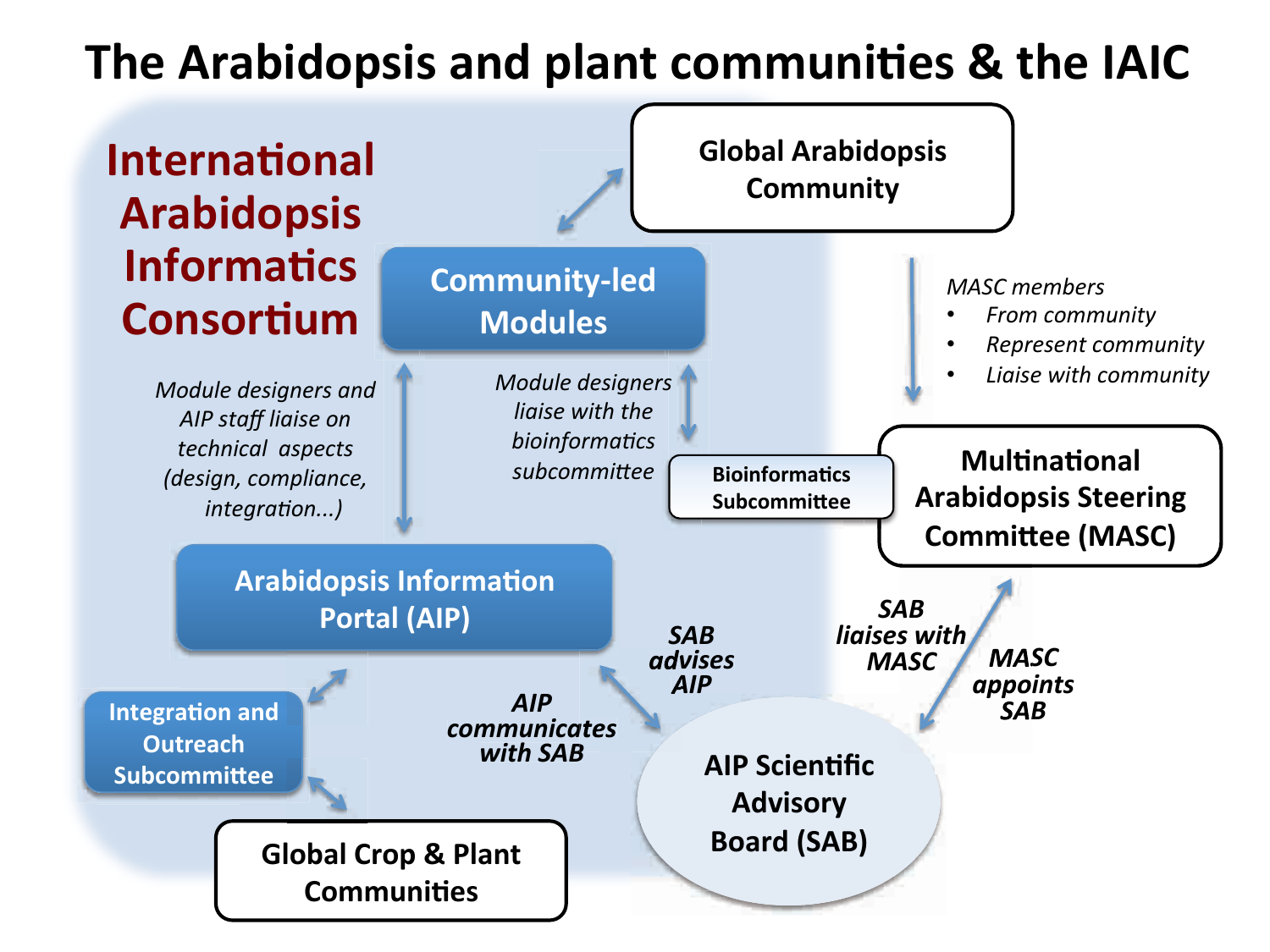# The Arabidopsis and plant communities & the IAIC

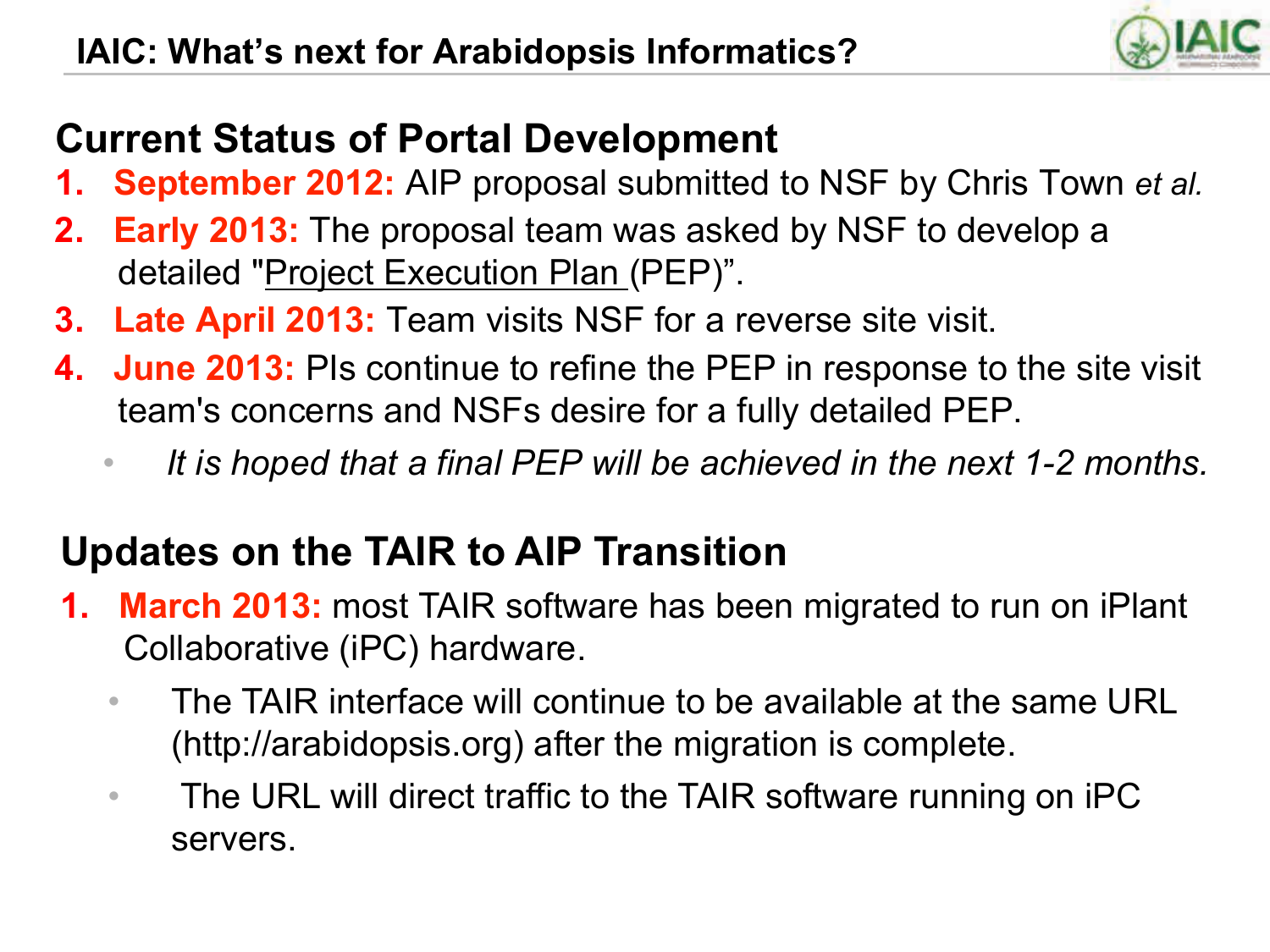

# **Current Status of Portal Development**

- **1. September 2012:** AIP proposal submitted to NSF by Chris Town *et al.*
- **2. Early 2013:** The proposal team was asked by NSF to develop a detailed "Project Execution Plan (PEP)".
- **3. Late April 2013:** Team visits NSF for a reverse site visit.
- **4. June 2013:** PIs continue to refine the PEP in response to the site visit team's concerns and NSFs desire for a fully detailed PEP.
	- *It is hoped that a final PEP will be achieved in the next 1-2 months.*

## **Updates on the TAIR to AIP Transition**

- **1. March 2013:** most TAIR software has been migrated to run on iPlant Collaborative (iPC) hardware.
	- The TAIR interface will continue to be available at the same URL (http://arabidopsis.org) after the migration is complete.
	- The URL will direct traffic to the TAIR software running on iPC servers.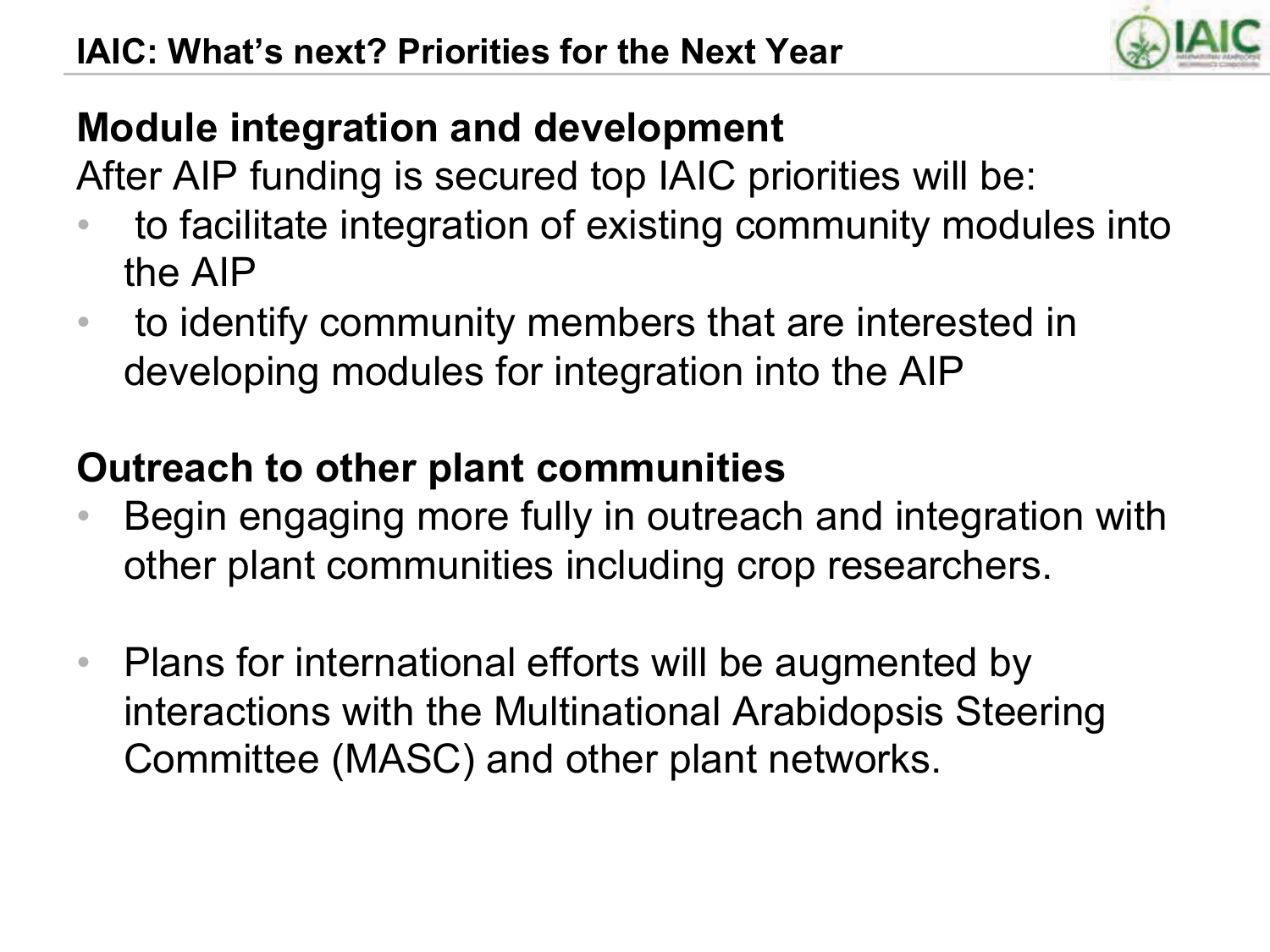

## **Module integration and development**

After AIP funding is secured top IAIC priorities will be:

- to facilitate integration of existing community modules into the AIP
- to identify community members that are interested in developing modules for integration into the AIP

## **Outreach to other plant communities**

- Begin engaging more fully in outreach and integration with other plant communities including crop researchers.
- Plans for international efforts will be augmented by interactions with the Multinational Arabidopsis Steering Committee (MASC) and other plant networks.